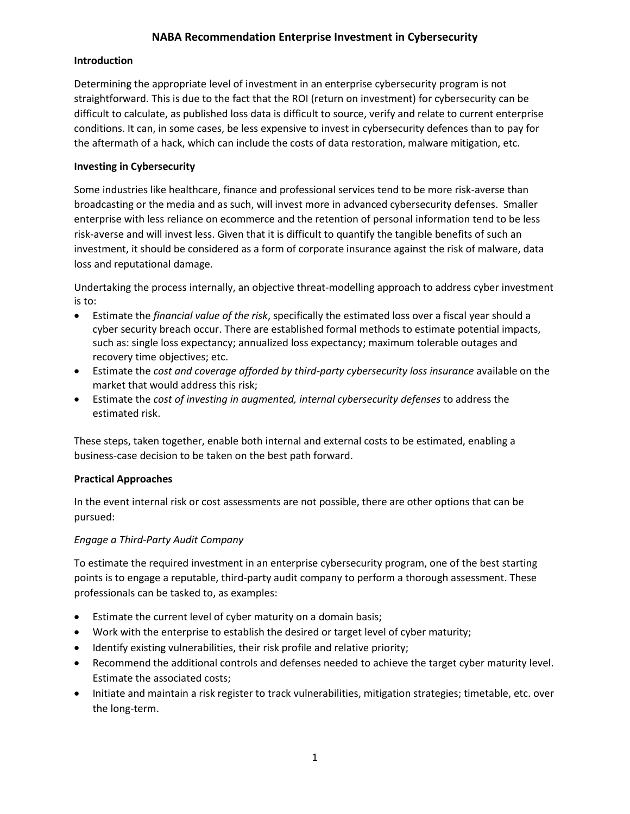# **NABA Recommendation Enterprise Investment in Cybersecurity**

### **Introduction**

Determining the appropriate level of investment in an enterprise cybersecurity program is not straightforward. This is due to the fact that the ROI (return on investment) for cybersecurity can be difficult to calculate, as published loss data is difficult to source, verify and relate to current enterprise conditions. It can, in some cases, be less expensive to invest in cybersecurity defences than to pay for the aftermath of a hack, which can include the costs of data restoration, malware mitigation, etc.

### **Investing in Cybersecurity**

Some industries like healthcare, finance and professional services tend to be more risk-averse than broadcasting or the media and as such, will invest more in advanced cybersecurity defenses. Smaller enterprise with less reliance on ecommerce and the retention of personal information tend to be less risk-averse and will invest less. Given that it is difficult to quantify the tangible benefits of such an investment, it should be considered as a form of corporate insurance against the risk of malware, data loss and reputational damage.

Undertaking the process internally, an objective threat-modelling approach to address cyber investment is to:

- Estimate the *financial value of the risk*, specifically the estimated loss over a fiscal year should a cyber security breach occur. There are established formal methods to estimate potential impacts, such as: single loss expectancy; annualized loss expectancy; maximum tolerable outages and recovery time objectives; etc.
- Estimate the *cost and coverage afforded by third-party cybersecurity loss insurance* available on the market that would address this risk;
- Estimate the *cost of investing in augmented, internal cybersecurity defenses* to address the estimated risk.

These steps, taken together, enable both internal and external costs to be estimated, enabling a business-case decision to be taken on the best path forward.

### **Practical Approaches**

In the event internal risk or cost assessments are not possible, there are other options that can be pursued:

# *Engage a Third-Party Audit Company*

To estimate the required investment in an enterprise cybersecurity program, one of the best starting points is to engage a reputable, third-party audit company to perform a thorough assessment. These professionals can be tasked to, as examples:

- Estimate the current level of cyber maturity on a domain basis;
- Work with the enterprise to establish the desired or target level of cyber maturity;
- Identify existing vulnerabilities, their risk profile and relative priority;
- Recommend the additional controls and defenses needed to achieve the target cyber maturity level. Estimate the associated costs;
- Initiate and maintain a risk register to track vulnerabilities, mitigation strategies; timetable, etc. over the long-term.